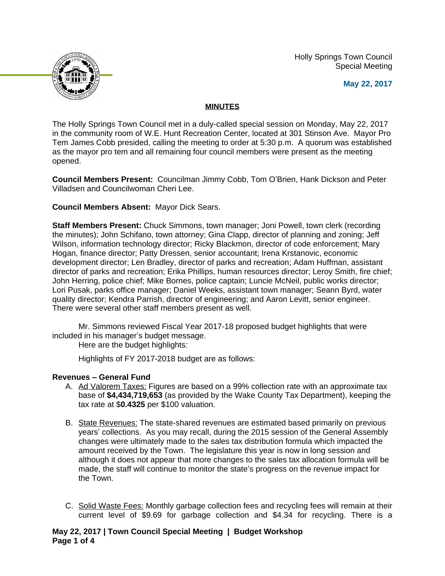Holly Springs Town Council Special Meeting





# **MINUTES**

The Holly Springs Town Council met in a duly-called special session on Monday, May 22, 2017 in the community room of W.E. Hunt Recreation Center, located at 301 Stinson Ave. Mayor Pro Tem James Cobb presided, calling the meeting to order at 5:30 p.m. A quorum was established as the mayor pro tem and all remaining four council members were present as the meeting opened.

**Council Members Present:** Councilman Jimmy Cobb, Tom O'Brien, Hank Dickson and Peter Villadsen and Councilwoman Cheri Lee.

# **Council Members Absent:** Mayor Dick Sears.

**Staff Members Present:** Chuck Simmons, town manager; Joni Powell, town clerk (recording the minutes); John Schifano, town attorney; Gina Clapp, director of planning and zoning; Jeff Wilson, information technology director; Ricky Blackmon, director of code enforcement; Mary Hogan, finance director; Patty Dressen, senior accountant; Irena Krstanovic, economic development director; Len Bradley, director of parks and recreation; Adam Huffman, assistant director of parks and recreation; Erika Phillips, human resources director; Leroy Smith, fire chief; John Herring, police chief; Mike Bornes, police captain; Luncie McNeil, public works director; Lori Pusak, parks office manager; Daniel Weeks, assistant town manager; Seann Byrd, water quality director; Kendra Parrish, director of engineering; and Aaron Levitt, senior engineer. There were several other staff members present as well.

Mr. Simmons reviewed Fiscal Year 2017-18 proposed budget highlights that were included in his manager's budget message.

Here are the budget highlights:

Highlights of FY 2017-2018 budget are as follows:

# **Revenues – General Fund**

- A. Ad Valorem Taxes: Figures are based on a 99% collection rate with an approximate tax base of **\$4,434,719,653** (as provided by the Wake County Tax Department), keeping the tax rate at \$**0.4325** per \$100 valuation.
- B. State Revenues: The state-shared revenues are estimated based primarily on previous years' collections. As you may recall, during the 2015 session of the General Assembly changes were ultimately made to the sales tax distribution formula which impacted the amount received by the Town. The legislature this year is now in long session and although it does not appear that more changes to the sales tax allocation formula will be made, the staff will continue to monitor the state's progress on the revenue impact for the Town.
- C. Solid Waste Fees: Monthly garbage collection fees and recycling fees will remain at their current level of \$9.69 for garbage collection and \$4.34 for recycling. There is a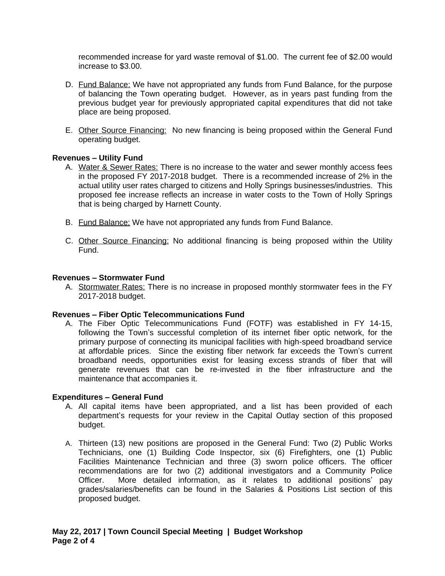recommended increase for yard waste removal of \$1.00. The current fee of \$2.00 would increase to \$3.00.

- D. Fund Balance: We have not appropriated any funds from Fund Balance, for the purpose of balancing the Town operating budget. However, as in years past funding from the previous budget year for previously appropriated capital expenditures that did not take place are being proposed.
- E. Other Source Financing: No new financing is being proposed within the General Fund operating budget.

## **Revenues – Utility Fund**

- A. Water & Sewer Rates: There is no increase to the water and sewer monthly access fees in the proposed FY 2017-2018 budget. There is a recommended increase of 2% in the actual utility user rates charged to citizens and Holly Springs businesses/industries. This proposed fee increase reflects an increase in water costs to the Town of Holly Springs that is being charged by Harnett County.
- B. Fund Balance: We have not appropriated any funds from Fund Balance.
- C. Other Source Financing: No additional financing is being proposed within the Utility Fund.

### **Revenues – Stormwater Fund**

A. Stormwater Rates: There is no increase in proposed monthly stormwater fees in the FY 2017-2018 budget.

### **Revenues – Fiber Optic Telecommunications Fund**

A. The Fiber Optic Telecommunications Fund (FOTF) was established in FY 14-15, following the Town's successful completion of its internet fiber optic network, for the primary purpose of connecting its municipal facilities with high-speed broadband service at affordable prices. Since the existing fiber network far exceeds the Town's current broadband needs, opportunities exist for leasing excess strands of fiber that will generate revenues that can be re-invested in the fiber infrastructure and the maintenance that accompanies it.

### **Expenditures – General Fund**

- A. All capital items have been appropriated, and a list has been provided of each department's requests for your review in the Capital Outlay section of this proposed budget.
- A. Thirteen (13) new positions are proposed in the General Fund: Two (2) Public Works Technicians, one (1) Building Code Inspector, six (6) Firefighters, one (1) Public Facilities Maintenance Technician and three (3) sworn police officers. The officer recommendations are for two (2) additional investigators and a Community Police Officer. More detailed information, as it relates to additional positions' pay grades/salaries/benefits can be found in the Salaries & Positions List section of this proposed budget.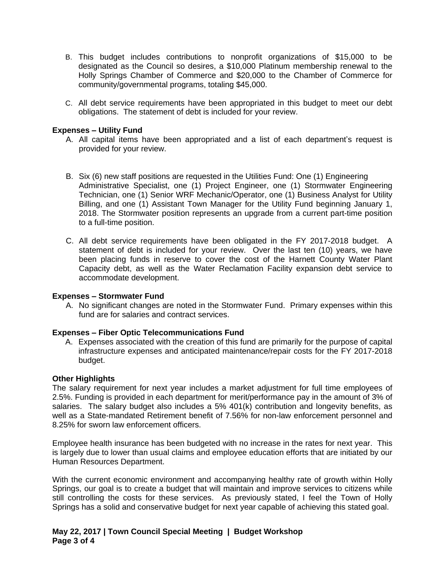- B. This budget includes contributions to nonprofit organizations of \$15,000 to be designated as the Council so desires, a \$10,000 Platinum membership renewal to the Holly Springs Chamber of Commerce and \$20,000 to the Chamber of Commerce for community/governmental programs, totaling \$45,000.
- C. All debt service requirements have been appropriated in this budget to meet our debt obligations. The statement of debt is included for your review.

## **Expenses – Utility Fund**

- A. All capital items have been appropriated and a list of each department's request is provided for your review.
- B. Six (6) new staff positions are requested in the Utilities Fund: One (1) Engineering Administrative Specialist, one (1) Project Engineer, one (1) Stormwater Engineering Technician, one (1) Senior WRF Mechanic/Operator, one (1) Business Analyst for Utility Billing, and one (1) Assistant Town Manager for the Utility Fund beginning January 1, 2018. The Stormwater position represents an upgrade from a current part-time position to a full-time position.
- C. All debt service requirements have been obligated in the FY 2017-2018 budget. A statement of debt is included for your review. Over the last ten (10) years, we have been placing funds in reserve to cover the cost of the Harnett County Water Plant Capacity debt, as well as the Water Reclamation Facility expansion debt service to accommodate development.

### **Expenses – Stormwater Fund**

A. No significant changes are noted in the Stormwater Fund. Primary expenses within this fund are for salaries and contract services.

### **Expenses – Fiber Optic Telecommunications Fund**

A. Expenses associated with the creation of this fund are primarily for the purpose of capital infrastructure expenses and anticipated maintenance/repair costs for the FY 2017-2018 budget.

### **Other Highlights**

The salary requirement for next year includes a market adjustment for full time employees of 2.5%. Funding is provided in each department for merit/performance pay in the amount of 3% of salaries. The salary budget also includes a 5% 401(k) contribution and longevity benefits, as well as a State-mandated Retirement benefit of 7.56% for non-law enforcement personnel and 8.25% for sworn law enforcement officers.

Employee health insurance has been budgeted with no increase in the rates for next year. This is largely due to lower than usual claims and employee education efforts that are initiated by our Human Resources Department.

With the current economic environment and accompanying healthy rate of growth within Holly Springs, our goal is to create a budget that will maintain and improve services to citizens while still controlling the costs for these services. As previously stated, I feel the Town of Holly Springs has a solid and conservative budget for next year capable of achieving this stated goal.